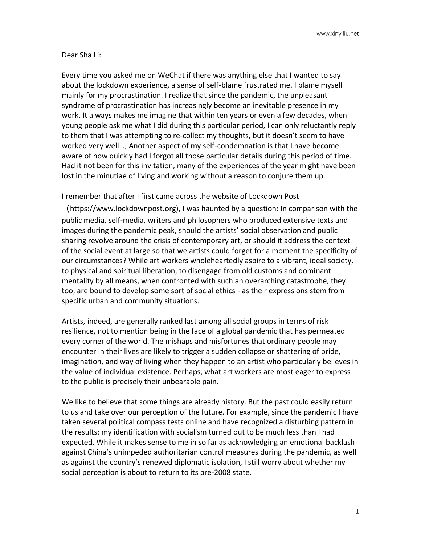## Dear Sha Li:

Every time you asked me on WeChat if there was anything else that I wanted to say about the lockdown experience, a sense of self-blame frustrated me. I blame myself mainly for my procrastination. I realize that since the pandemic, the unpleasant syndrome of procrastination has increasingly become an inevitable presence in my work. It always makes me imagine that within ten years or even a few decades, when young people ask me what I did during this particular period, I can only reluctantly reply to them that I was attempting to re-collect my thoughts, but it doesn't seem to have worked very well…; Another aspect of my self-condemnation is that I have become aware of how quickly had I forgot all those particular details during this period of time. Had it not been for this invitation, many of the experiences of the year might have been lost in the minutiae of living and working without a reason to conjure them up.

I remember that after I first came across the website of Lockdown Post

(https://www.lockdownpost.org), I was haunted by a question: In comparison with the public media, self-media, writers and philosophers who produced extensive texts and images during the pandemic peak, should the artists' social observation and public sharing revolve around the crisis of contemporary art, or should it address the context of the social event at large so that we artists could forget for a moment the specificity of our circumstances? While art workers wholeheartedly aspire to a vibrant, ideal society, to physical and spiritual liberation, to disengage from old customs and dominant mentality by all means, when confronted with such an overarching catastrophe, they too, are bound to develop some sort of social ethics - as their expressions stem from specific urban and community situations.

Artists, indeed, are generally ranked last among all social groups in terms of risk resilience, not to mention being in the face of a global pandemic that has permeated every corner of the world. The mishaps and misfortunes that ordinary people may encounter in their lives are likely to trigger a sudden collapse or shattering of pride, imagination, and way of living when they happen to an artist who particularly believes in the value of individual existence. Perhaps, what art workers are most eager to express to the public is precisely their unbearable pain.

We like to believe that some things are already history. But the past could easily return to us and take over our perception of the future. For example, since the pandemic I have taken several political compass tests online and have recognized a disturbing pattern in the results: my identification with socialism turned out to be much less than I had expected. While it makes sense to me in so far as acknowledging an emotional backlash against China's unimpeded authoritarian control measures during the pandemic, as well as against the country's renewed diplomatic isolation, I still worry about whether my social perception is about to return to its pre-2008 state.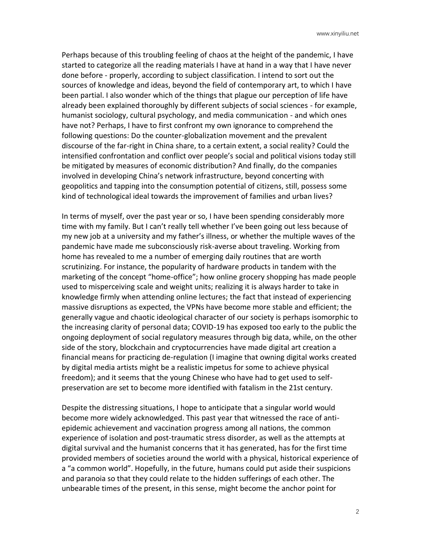Perhaps because of this troubling feeling of chaos at the height of the pandemic, I have started to categorize all the reading materials I have at hand in a way that I have never done before - properly, according to subject classification. I intend to sort out the sources of knowledge and ideas, beyond the field of contemporary art, to which I have been partial. I also wonder which of the things that plague our perception of life have already been explained thoroughly by different subjects of social sciences - for example, humanist sociology, cultural psychology, and media communication - and which ones have not? Perhaps, I have to first confront my own ignorance to comprehend the following questions: Do the counter-globalization movement and the prevalent discourse of the far-right in China share, to a certain extent, a social reality? Could the intensified confrontation and conflict over people's social and political visions today still be mitigated by measures of economic distribution? And finally, do the companies involved in developing China's network infrastructure, beyond concerting with geopolitics and tapping into the consumption potential of citizens, still, possess some kind of technological ideal towards the improvement of families and urban lives?

In terms of myself, over the past year or so, I have been spending considerably more time with my family. But I can't really tell whether I've been going out less because of my new job at a university and my father's illness, or whether the multiple waves of the pandemic have made me subconsciously risk-averse about traveling. Working from home has revealed to me a number of emerging daily routines that are worth scrutinizing. For instance, the popularity of hardware products in tandem with the marketing of the concept "home-office"; how online grocery shopping has made people used to misperceiving scale and weight units; realizing it is always harder to take in knowledge firmly when attending online lectures; the fact that instead of experiencing massive disruptions as expected, the VPNs have become more stable and efficient; the generally vague and chaotic ideological character of our society is perhaps isomorphic to the increasing clarity of personal data; COVID-19 has exposed too early to the public the ongoing deployment of social regulatory measures through big data, while, on the other side of the story, blockchain and cryptocurrencies have made digital art creation a financial means for practicing de-regulation (I imagine that owning digital works created by digital media artists might be a realistic impetus for some to achieve physical freedom); and it seems that the young Chinese who have had to get used to selfpreservation are set to become more identified with fatalism in the 21st century.

Despite the distressing situations, I hope to anticipate that a singular world would become more widely acknowledged. This past year that witnessed the race of antiepidemic achievement and vaccination progress among all nations, the common experience of isolation and post-traumatic stress disorder, as well as the attempts at digital survival and the humanist concerns that it has generated, has for the first time provided members of societies around the world with a physical, historical experience of a "a common world". Hopefully, in the future, humans could put aside their suspicions and paranoia so that they could relate to the hidden sufferings of each other. The unbearable times of the present, in this sense, might become the anchor point for